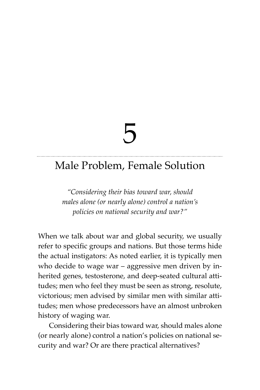# 5

# Male Problem, Female Solution

*"Considering their bias toward war, should males alone (or nearly alone) control a nation's policies on national security and war?"*

When we talk about war and global security, we usually refer to specific groups and nations. But those terms hide the actual instigators: As noted earlier, it is typically men who decide to wage war – aggressive men driven by inherited genes, testosterone, and deep-seated cultural attitudes; men who feel they must be seen as strong, resolute, victorious; men advised by similar men with similar attitudes; men whose predecessors have an almost unbroken history of waging war.

Considering their bias toward war, should males alone (or nearly alone) control a nation's policies on national security and war? Or are there practical alternatives?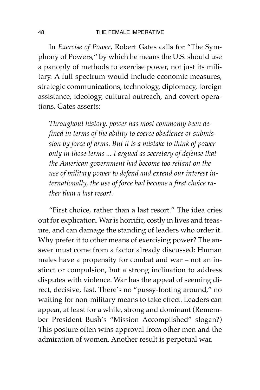In *Exercise of Power*, Robert Gates calls for "The Symphony of Powers," by which he means the U.S. should use a panoply of methods to exercise power, not just its military. A full spectrum would include economic measures, strategic communications, technology, diplomacy, foreign assistance, ideology, cultural outreach, and covert operations. Gates asserts:

*Throughout history, power has most commonly been defined in terms of the ability to coerce obedience or submission by force of arms. But it is a mistake to think of power only in those terms ... I argued as secretary of defense that the American government had become too reliant on the use of military power to defend and extend our interest internationally, the use of force had become a first choice rather than a last resort.*

"First choice, rather than a last resort." The idea cries out for explication. War is horrific, costly in lives and treasure, and can damage the standing of leaders who order it. Why prefer it to other means of exercising power? The answer must come from a factor already discussed: Human males have a propensity for combat and war – not an instinct or compulsion, but a strong inclination to address disputes with violence. War has the appeal of seeming direct, decisive, fast. There's no "pussy-footing around," no waiting for non-military means to take effect. Leaders can appear, at least for a while, strong and dominant (Remember President Bush's "Mission Accomplished" slogan?) This posture often wins approval from other men and the admiration of women. Another result is perpetual war.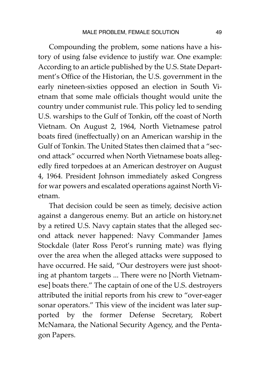Compounding the problem, some nations have a history of using false evidence to justify war. One example: According to an article published by the U.S. State Department's Office of the Historian, the U.S. government in the early nineteen-sixties opposed an election in South Vietnam that some male officials thought would unite the country under communist rule. This policy led to sending U.S. warships to the Gulf of Tonkin, off the coast of North Vietnam. On August 2, 1964, North Vietnamese patrol boats fired (ineffectually) on an American warship in the Gulf of Tonkin. The United States then claimed that a "second attack" occurred when North Vietnamese boats allegedly fired torpedoes at an American destroyer on August 4, 1964. President Johnson immediately asked Congress for war powers and escalated operations against North Vietnam.

That decision could be seen as timely, decisive action against a dangerous enemy. But an article on history.net by a retired U.S. Navy captain states that the alleged second attack never happened: Navy Commander James Stockdale (later Ross Perot's running mate) was flying over the area when the alleged attacks were supposed to have occurred. He said, "Our destroyers were just shooting at phantom targets ... There were no [North Vietnamese] boats there." The captain of one of the U.S. destroyers attributed the initial reports from his crew to "over-eager sonar operators." This view of the incident was later supported by the former Defense Secretary, Robert McNamara, the National Security Agency, and the Pentagon Papers.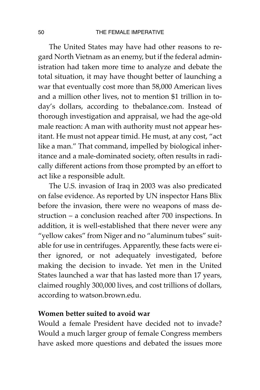The United States may have had other reasons to regard North Vietnam as an enemy, but if the federal administration had taken more time to analyze and debate the total situation, it may have thought better of launching a war that eventually cost more than 58,000 American lives and a million other lives, not to mention \$1 trillion in today's dollars, according to thebalance.com. Instead of thorough investigation and appraisal, we had the age-old male reaction: A man with authority must not appear hesitant. He must not appear timid. He must, at any cost, "act like a man." That command, impelled by biological inheritance and a male-dominated society, often results in radically different actions from those prompted by an effort to act like a responsible adult.

The U.S. invasion of Iraq in 2003 was also predicated on false evidence. As reported by UN inspector Hans Blix before the invasion, there were no weapons of mass destruction – a conclusion reached after 700 inspections. In addition, it is well-established that there never were any "yellow cakes" from Niger and no "aluminum tubes" suitable for use in centrifuges. Apparently, these facts were either ignored, or not adequately investigated, before making the decision to invade. Yet men in the United States launched a war that has lasted more than 17 years, claimed roughly 300,000 lives, and cost trillions of dollars, according to watson.brown.edu.

#### **Women better suited to avoid war**

Would a female President have decided not to invade? Would a much larger group of female Congress members have asked more questions and debated the issues more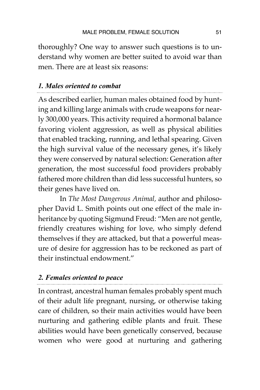thoroughly? One way to answer such questions is to understand why women are better suited to avoid war than men. There are at least six reasons:

## *1. Males oriented to combat*

As described earlier, human males obtained food by hunting and killing large animals with crude weapons for nearly 300,000 years. This activity required a hormonal balance favoring violent aggression, as well as physical abilities that enabled tracking, running, and lethal spearing. Given the high survival value of the necessary genes, it's likely they were conserved by natural selection: Generation after generation, the most successful food providers probably fathered more children than did less successful hunters, so their genes have lived on.

In *The Most Dangerous Animal,* author and philosopher David L. Smith points out one effect of the male inheritance by quoting Sigmund Freud: "Men are not gentle, friendly creatures wishing for love, who simply defend themselves if they are attacked, but that a powerful measure of desire for aggression has to be reckoned as part of their instinctual endowment."

# *2. Females oriented to peace*

In contrast, ancestral human females probably spent much of their adult life pregnant, nursing, or otherwise taking care of children, so their main activities would have been nurturing and gathering edible plants and fruit. These abilities would have been genetically conserved, because women who were good at nurturing and gathering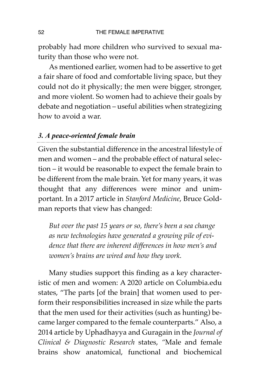probably had more children who survived to sexual maturity than those who were not.

As mentioned earlier, women had to be assertive to get a fair share of food and comfortable living space, but they could not do it physically; the men were bigger, stronger, and more violent. So women had to achieve their goals by debate and negotiation – useful abilities when strategizing how to avoid a war.

# *3. A peace-oriented female brain*

Given the substantial difference in the ancestral lifestyle of men and women – and the probable effect of natural selection – it would be reasonable to expect the female brain to be different from the male brain. Yet for many years, it was thought that any differences were minor and unimportant. In a 2017 article in *Stanford Medicine*, Bruce Goldman reports that view has changed:

*But over the past 15 years or so, there's been a sea change as new technologies have generated a growing pile of evidence that there are inherent differences in how men's and women's brains are wired and how they work.*

Many studies support this finding as a key characteristic of men and women: A 2020 article on Columbia.edu states, "The parts [of the brain] that women used to perform their responsibilities increased in size while the parts that the men used for their activities (such as hunting) became larger compared to the female counterparts." Also, a 2014 article by Uphadhayya and Guragain in the *Journal of Clinical & Diagnostic Research* states, *"*Male and female brains show anatomical, functional and biochemical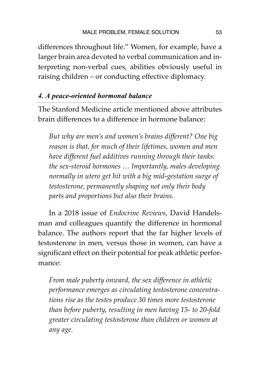differences throughout life." Women, for example, have a larger brain area devoted to verbal communication and interpreting non-verbal cues, abilities obviously useful in raising children – or conducting effective diplomacy.

## *4. A peace-oriented hormonal balance*

The Stanford Medicine article mentioned above attributes brain differences to a difference in hormone balance:

*But why are men's and women's brains different? One big reason is that, for much of their lifetimes, women and men have different fuel additives running through their tanks: the sex-steroid hormones … Importantly, males developing normally in utero get hit with a big mid-gestation surge of testosterone, permanently shaping not only their body parts and proportions but also their brains.*

In a 2018 issue of *Endocrine Reviews*, David Handelsman and colleagues quantify the difference in hormonal balance. The authors report that the far higher levels of testosterone in men, versus those in women, can have a significant effect on their potential for peak athletic performance:

*From male puberty onward, the sex difference in athletic performance emerges as circulating testosterone concentrations rise as the testes produce 30 times more testosterone than before puberty, resulting in men having 15- to 20-fold greater circulating testosterone than children or women at any age.*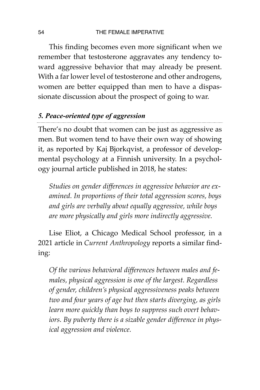This finding becomes even more significant when we remember that testosterone aggravates any tendency toward aggressive behavior that may already be present. With a far lower level of testosterone and other androgens, women are better equipped than men to have a dispassionate discussion about the prospect of going to war.

# *5. Peace-oriented type of aggression*

There's no doubt that women can be just as aggressive as men. But women tend to have their own way of showing it, as reported by Kaj Bjorkqvist, a professor of developmental psychology at a Finnish university. In a psychology journal article published in 2018, he states:

*Studies on gender differences in aggressive behavior are examined. In proportions of their total aggression scores, boys and girls are verbally about equally aggressive, while boys are more physically and girls more indirectly aggressive.* 

Lise Eliot, a Chicago Medical School professor, in a 2021 article in *Current Anthropology* reports a similar finding:

*Of the various behavioral differences between males and females, physical aggression is one of the largest. Regardless of gender, children's physical aggressiveness peaks between two and four years of age but then starts diverging, as girls learn more quickly than boys to suppress such overt behaviors. By puberty there is a sizable gender difference in physical aggression and violence.*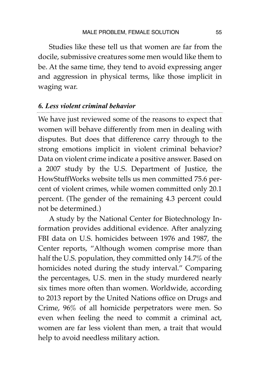Studies like these tell us that women are far from the docile, submissive creatures some men would like them to be. At the same time, they tend to avoid expressing anger and aggression in physical terms, like those implicit in waging war.

#### *6. Less violent criminal behavior*

We have just reviewed some of the reasons to expect that women will behave differently from men in dealing with disputes. But does that difference carry through to the strong emotions implicit in violent criminal behavior? Data on violent crime indicate a positive answer. Based on a 2007 study by the U.S. Department of Justice, the HowStuffWorks website tells us men committed 75.6 percent of violent crimes, while women committed only 20.1 percent. (The gender of the remaining 4.3 percent could not be determined.)

A study by the National Center for Biotechnology Information provides additional evidence. After analyzing FBI data on U.S. homicides between 1976 and 1987, the Center reports, "Although women comprise more than half the U.S. population, they committed only 14.7% of the homicides noted during the study interval." Comparing the percentages, U.S. men in the study murdered nearly six times more often than women. Worldwide, according to 2013 report by the United Nations office on Drugs and Crime, 96% of all homicide perpetrators were men. So even when feeling the need to commit a criminal act, women are far less violent than men, a trait that would help to avoid needless military action.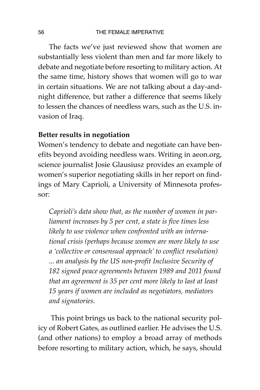The facts we've just reviewed show that women are substantially less violent than men and far more likely to debate and negotiate before resorting to military action. At the same time, history shows that women will go to war in certain situations. We are not talking about a day-andnight difference, but rather a difference that seems likely to lessen the chances of needless wars, such as the U.S. invasion of Iraq.

## **Better results in negotiation**

Women's tendency to debate and negotiate can have benefits beyond avoiding needless wars. Writing in aeon.org, science journalist Josie Glausiusz provides an example of women's superior negotiating skills in her report on findings of Mary Caprioli, a University of Minnesota professor:

*Caprioli's data show that, as the number of women in parliament increases by 5 per cent, a state is five times less likely to use violence when confronted with an international crisis (perhaps because women are more likely to use a 'collective or consensual approach' to conflict resolution) ... an analysis by the US non-profit Inclusive Security of 182 signed peace agreements between 1989 and 2011 found that an agreement is 35 per cent more likely to last at least 15 years if women are included as negotiators, mediators and signatories.*

This point brings us back to the national security policy of Robert Gates, as outlined earlier. He advises the U.S. (and other nations) to employ a broad array of methods before resorting to military action, which, he says, should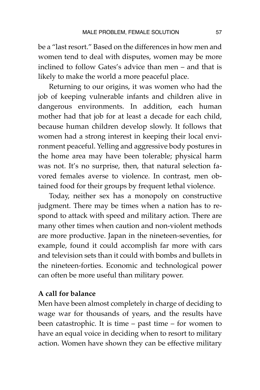be a "last resort." Based on the differences in how men and women tend to deal with disputes, women may be more inclined to follow Gates's advice than men – and that is likely to make the world a more peaceful place.

Returning to our origins, it was women who had the job of keeping vulnerable infants and children alive in dangerous environments. In addition, each human mother had that job for at least a decade for each child, because human children develop slowly. It follows that women had a strong interest in keeping their local environment peaceful. Yelling and aggressive body postures in the home area may have been tolerable; physical harm was not. It's no surprise, then, that natural selection favored females averse to violence. In contrast, men obtained food for their groups by frequent lethal violence.

Today, neither sex has a monopoly on constructive judgment. There may be times when a nation has to respond to attack with speed and military action. There are many other times when caution and non-violent methods are more productive. Japan in the nineteen-seventies, for example, found it could accomplish far more with cars and television sets than it could with bombs and bullets in the nineteen-forties. Economic and technological power can often be more useful than military power.

#### **A call for balance**

Men have been almost completely in charge of deciding to wage war for thousands of years, and the results have been catastrophic. It is time – past time – for women to have an equal voice in deciding when to resort to military action. Women have shown they can be effective military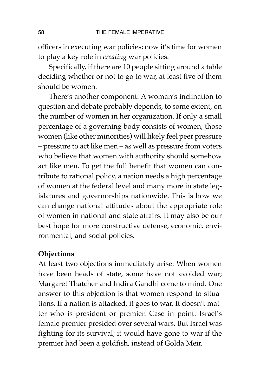officers in executing war policies; now it's time for women to play a key role in *creating* war policies.

Specifically, if there are 10 people sitting around a table deciding whether or not to go to war, at least five of them should be women.

There's another component. A woman's inclination to question and debate probably depends, to some extent, on the number of women in her organization. If only a small percentage of a governing body consists of women, those women (like other minorities) will likely feel peer pressure – pressure to act like men – as well as pressure from voters who believe that women with authority should somehow act like men. To get the full benefit that women can contribute to rational policy, a nation needs a high percentage of women at the federal level and many more in state legislatures and governorships nationwide. This is how we can change national attitudes about the appropriate role of women in national and state affairs. It may also be our best hope for more constructive defense, economic, environmental, and social policies.

#### **Objections**

At least two objections immediately arise: When women have been heads of state, some have not avoided war; Margaret Thatcher and Indira Gandhi come to mind. One answer to this objection is that women respond to situations. If a nation is attacked, it goes to war. It doesn't matter who is president or premier. Case in point: Israel's female premier presided over several wars. But Israel was fighting for its survival; it would have gone to war if the premier had been a goldfish, instead of Golda Meir.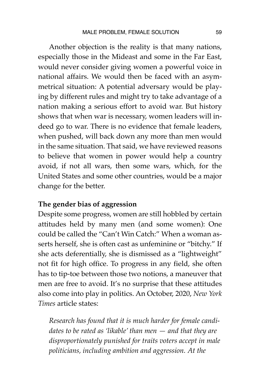Another objection is the reality is that many nations, especially those in the Mideast and some in the Far East, would never consider giving women a powerful voice in national affairs. We would then be faced with an asymmetrical situation: A potential adversary would be playing by different rules and might try to take advantage of a nation making a serious effort to avoid war. But history shows that when war is necessary, women leaders will indeed go to war. There is no evidence that female leaders, when pushed, will back down any more than men would in the same situation. That said, we have reviewed reasons to believe that women in power would help a country avoid, if not all wars, then some wars, which, for the United States and some other countries, would be a major change for the better.

#### **The gender bias of aggression**

Despite some progress, women are still hobbled by certain attitudes held by many men (and some women): One could be called the "Can't Win Catch:" When a woman asserts herself, she is often cast as unfeminine or "bitchy." If she acts deferentially, she is dismissed as a "lightweight" not fit for high office. To progress in any field, she often has to tip-toe between those two notions, a maneuver that men are free to avoid. It's no surprise that these attitudes also come into play in politics. An October, 2020, *New York Times* article states:

*Research has found that it is much harder for female candidates to be rated as 'likable' than men — and that they are disproportionately punished for traits voters accept in male politicians, including ambition and aggression. At the*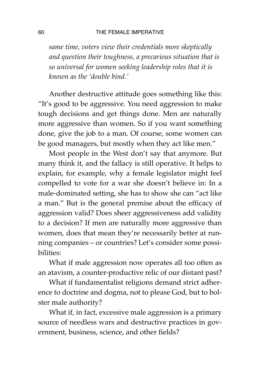#### 60 THE FEMALE IMPERATIVE

*same time, voters view their credentials more skeptically and question their toughness, a precarious situation that is so universal for women seeking leadership roles that it is known as the 'double bind.'*

Another destructive attitude goes something like this: "It's good to be aggressive. You need aggression to make tough decisions and get things done. Men are naturally more aggressive than women. So if you want something done, give the job to a man. Of course, some women can be good managers, but mostly when they act like men."

Most people in the West don't say that anymore. But many think it, and the fallacy is still operative. It helps to explain, for example, why a female legislator might feel compelled to vote for a war she doesn't believe in: In a male-dominated setting, she has to show she can "act like a man." But is the general premise about the efficacy of aggression valid? Does sheer aggressiveness add validity to a decision? If men are naturally more aggressive than women, does that mean they're necessarily better at running companies – or countries? Let's consider some possibilities:

What if male aggression now operates all too often as an atavism, a counter-productive relic of our distant past?

What if fundamentalist religions demand strict adherence to doctrine and dogma, not to please God, but to bolster male authority?

What if, in fact, excessive male aggression is a primary source of needless wars and destructive practices in government, business, science, and other fields?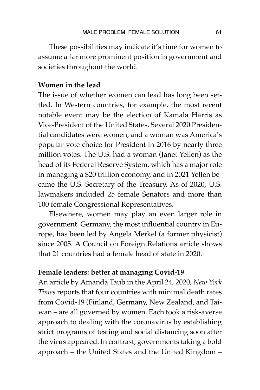These possibilities may indicate it's time for women to assume a far more prominent position in government and societies throughout the world.

# **Women in the lead**

The issue of whether women can lead has long been settled. In Western countries, for example, the most recent notable event may be the election of Kamala Harris as Vice-President of the United States. Several 2020 Presidential candidates were women, and a woman was America's popular-vote choice for President in 2016 by nearly three million votes. The U.S. had a woman (Janet Yellen) as the head of its Federal Reserve System, which has a major role in managing a \$20 trillion economy, and in 2021 Yellen became the U.S. Secretary of the Treasury. As of 2020, U.S. lawmakers included 25 female Senators and more than 100 female Congressional Representatives.

Elsewhere, women may play an even larger role in government. Germany, the most influential country in Europe, has been led by Angela Merkel (a former physicist) since 2005. A Council on Foreign Relations article shows that 21 countries had a female head of state in 2020.

#### **Female leaders: better at managing Covid-19**

An article by Amanda Taub in the April 24, 2020, *New York Times* reports that four countries with minimal death rates from Covid-19 (Finland, Germany, New Zealand, and Taiwan – are all governed by women. Each took a risk-averse approach to dealing with the coronavirus by establishing strict programs of testing and social distancing soon after the virus appeared. In contrast, governments taking a bold approach – the United States and the United Kingdom –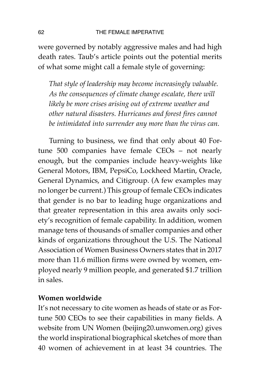were governed by notably aggressive males and had high death rates. Taub's article points out the potential merits of what some might call a female style of governing:

*That style of leadership may become increasingly valuable. As the consequences of climate change escalate, there will likely be more crises arising out of extreme weather and other natural disasters. Hurricanes and forest fires cannot be intimidated into surrender any more than the virus can.* 

Turning to business, we find that only about 40 Fortune 500 companies have female CEOs – not nearly enough, but the companies include heavy-weights like General Motors, IBM, PepsiCo, Lockheed Martin, Oracle, General Dynamics, and Citigroup. (A few examples may no longer be current.) This group of female CEOs indicates that gender is no bar to leading huge organizations and that greater representation in this area awaits only society's recognition of female capability. In addition, women manage tens of thousands of smaller companies and other kinds of organizations throughout the U.S. The National Association of Women Business Owners states that in 2017 more than 11.6 million firms were owned by women, employed nearly 9 million people, and generated \$1.7 trillion in sales.

#### **Women worldwide**

It's not necessary to cite women as heads of state or as Fortune 500 CEOs to see their capabilities in many fields. A website from UN Women (beijing20.unwomen.org) gives the world inspirational biographical sketches of more than 40 women of achievement in at least 34 countries. The